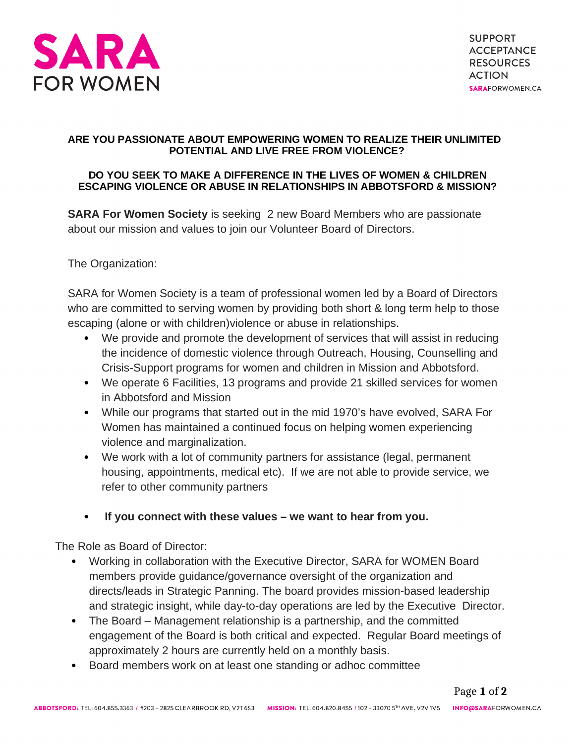

## **ARE YOU PASSIONATE ABOUT EMPOWERING WOMEN TO REALIZE THEIR UNLIMITED POTENTIAL AND LIVE FREE FROM VIOLENCE?**

## **DO YOU SEEK TO MAKE A DIFFERENCE IN THE LIVES OF WOMEN & CHILDREN ESCAPING VIOLENCE OR ABUSE IN RELATIONSHIPS IN ABBOTSFORD & MISSION?**

**SARA For Women Society** is seeking 2 new Board Members who are passionate about our mission and values to join our Volunteer Board of Directors.

The Organization:

SARA for Women Society is a team of professional women led by a Board of Directors who are committed to serving women by providing both short & long term help to those escaping (alone or with children)violence or abuse in relationships.

- We provide and promote the development of services that will assist in reducing the incidence of domestic violence through Outreach, Housing, Counselling and Crisis-Support programs for women and children in Mission and Abbotsford.
- We operate 6 Facilities, 13 programs and provide 21 skilled services for women in Abbotsford and Mission
- While our programs that started out in the mid 1970's have evolved, SARA For Women has maintained a continued focus on helping women experiencing violence and marginalization.
- We work with a lot of community partners for assistance (legal, permanent housing, appointments, medical etc). If we are not able to provide service, we refer to other community partners
- **If you connect with these values we want to hear from you.**

The Role as Board of Director:

- Working in collaboration with the Executive Director, SARA for WOMEN Board members provide guidance/governance oversight of the organization and directs/leads in Strategic Panning. The board provides mission-based leadership and strategic insight, while day-to-day operations are led by the Executive Director.
- The Board Management relationship is a partnership, and the committed engagement of the Board is both critical and expected. Regular Board meetings of approximately 2 hours are currently held on a monthly basis.
- Board members work on at least one standing or adhoc committee